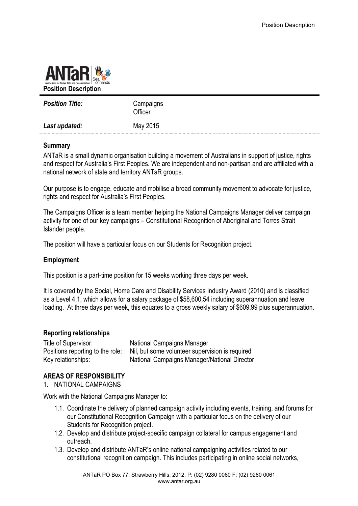

| <b>Position Title:</b> | Campaigns<br>Officer |  |
|------------------------|----------------------|--|
| Last updated:          | May 2015             |  |

## **Summary**

ANTaR is a small dynamic organisation building a movement of Australians in support of justice, rights and respect for Australia's First Peoples. We are independent and non-partisan and are affiliated with a national network of state and territory ANTaR groups.

Our purpose is to engage, educate and mobilise a broad community movement to advocate for justice, rights and respect for Australia's First Peoples.

The Campaigns Officer is a team member helping the National Campaigns Manager deliver campaign activity for one of our key campaigns – Constitutional Recognition of Aboriginal and Torres Strait Islander people.

The position will have a particular focus on our Students for Recognition project.

### **Employment**

This position is a part-time position for 15 weeks working three days per week.

It is covered by the Social, Home Care and Disability Services Industry Award (2010) and is classified as a Level 4.1, which allows for a salary package of \$58,600.54 including superannuation and leave loading. At three days per week, this equates to a gross weekly salary of \$609.99 plus superannuation.

### **Reporting relationships**

Title of Supervisor: National Campaigns Manager Positions reporting to the role: Nil, but some volunteer supervision is required Key relationships: National Campaigns Manager/National Director

### **AREAS OF RESPONSIBILITY**

1. NATIONAL CAMPAIGNS

Work with the National Campaigns Manager to:

- 1.1. Coordinate the delivery of planned campaign activity including events, training, and forums for our Constitutional Recognition Campaign with a particular focus on the delivery of our Students for Recognition project.
- 1.2. Develop and distribute project-specific campaign collateral for campus engagement and outreach.
- 1.3. Develop and distribute ANTaR's online national campaigning activities related to our constitutional recognition campaign. This includes participating in online social networks,